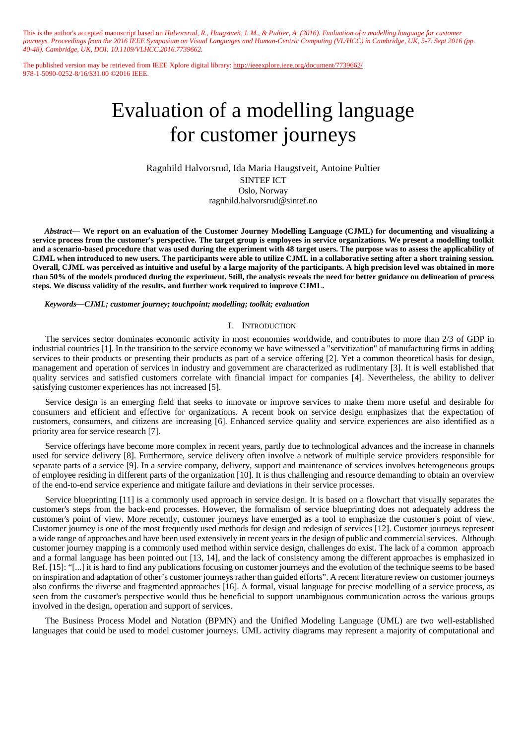This is the author's accepted manuscript based on *Halvorsrud, R., Haugstveit, I. M., & Pultier, A. (2016). Evaluation of a modelling language for customer*  journeys. Proceedings from the 2016 IEEE Symposium on Visual Languages and Human-Centric Computing (VL/HCC) in Cambridge, UK, 5-7. Sept 2016 (pp. *40-48). Cambridge, UK, DOI: 10.1109/VLHCC.2016.7739662.*

The published version may be retrieved from IEEE Xplore digital library:<http://ieeexplore.ieee.org/document/7739662/> 978-1-5090-0252-8/16/\$31.00 ©2016 IEEE.

# Evaluation of a modelling language for customer journeys

Ragnhild Halvorsrud, Ida Maria Haugstveit, Antoine Pultier SINTEF ICT Oslo, Norway ragnhild.halvorsrud@sintef.no

*Abstract***— We report on an evaluation of the Customer Journey Modelling Language (CJML) for documenting and visualizing a service process from the customer's perspective. The target group is employees in service organizations. We present a modelling toolkit and a scenario-based procedure that was used during the experiment with 48 target users. The purpose was to assess the applicability of CJML when introduced to new users. The participants were able to utilize CJML in a collaborative setting after a short training session. Overall, CJML was perceived as intuitive and useful by a large majority of the participants. A high precision level was obtained in more than 50% of the models produced during the experiment. Still, the analysis reveals the need for better guidance on delineation of process steps. We discuss validity of the results, and further work required to improve CJML.**

*Keywords—CJML; customer journey; touchpoint; modelling; toolkit; evaluation*

# I. INTRODUCTION

The services sector dominates economic activity in most economies worldwide, and contributes to more than 2/3 of GDP in industrial countries [1]. In the transition to the service economy we have witnessed a "servitization" of manufacturing firms in adding services to their products or presenting their products as part of a service offering [2]. Yet a common theoretical basis for design, management and operation of services in industry and government are characterized as rudimentary [3]. It is well established that quality services and satisfied customers correlate with financial impact for companies [4]. Nevertheless, the ability to deliver satisfying customer experiences has not increased [5].

Service design is an emerging field that seeks to innovate or improve services to make them more useful and desirable for consumers and efficient and effective for organizations. A recent book on service design emphasizes that the expectation of customers, consumers, and citizens are increasing [6]. Enhanced service quality and service experiences are also identified as a priority area for service research [7].

Service offerings have become more complex in recent years, partly due to technological advances and the increase in channels used for service delivery [8]. Furthermore, service delivery often involve a network of multiple service providers responsible for separate parts of a service [9]. In a service company, delivery, support and maintenance of services involves heterogeneous groups of employee residing in different parts of the organization [10]. It is thus challenging and resource demanding to obtain an overview of the end-to-end service experience and mitigate failure and deviations in their service processes.

Service blueprinting [11] is a commonly used approach in service design. It is based on a flowchart that visually separates the customer's steps from the back-end processes. However, the formalism of service blueprinting does not adequately address the customer's point of view. More recently, customer journeys have emerged as a tool to emphasize the customer's point of view. Customer journey is one of the most frequently used methods for design and redesign of services [12]. Customer journeys represent a wide range of approaches and have been used extensively in recent years in the design of public and commercial services. Although customer journey mapping is a commonly used method within service design, challenges do exist. The lack of a common approach and a formal language has been pointed out [13, 14], and the lack of consistency among the different approaches is emphasized in Ref. [15]: "[...] it is hard to find any publications focusing on customer journeys and the evolution of the technique seems to be based on inspiration and adaptation of other's customer journeys rather than guided efforts". A recent literature review on customer journeys also confirms the diverse and fragmented approaches [16]. A formal, visual language for precise modelling of a service process, as seen from the customer's perspective would thus be beneficial to support unambiguous communication across the various groups involved in the design, operation and support of services.

The Business Process Model and Notation (BPMN) and the Unified Modeling Language (UML) are two well-established languages that could be used to model customer journeys. UML activity diagrams may represent a majority of computational and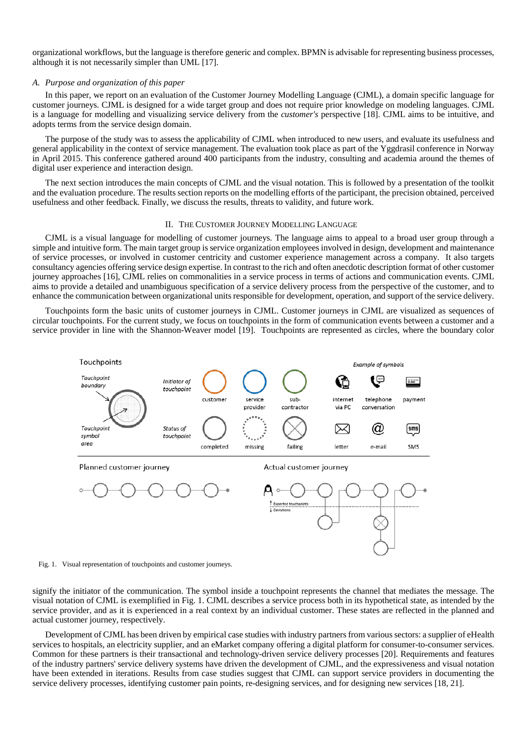organizational workflows, but the language is therefore generic and complex. BPMN is advisable for representing business processes, although it is not necessarily simpler than UML [17].

## *A. Purpose and organization of this paper*

In this paper, we report on an evaluation of the Customer Journey Modelling Language (CJML), a domain specific language for customer journeys. CJML is designed for a wide target group and does not require prior knowledge on modeling languages. CJML is a language for modelling and visualizing service delivery from the *customer's* perspective [18]. CJML aims to be intuitive, and adopts terms from the service design domain.

The purpose of the study was to assess the applicability of CJML when introduced to new users, and evaluate its usefulness and general applicability in the context of service management. The evaluation took place as part of the Yggdrasil conference in Norway in April 2015. This conference gathered around 400 participants from the industry, consulting and academia around the themes of digital user experience and interaction design.

The next section introduces the main concepts of CJML and the visual notation. This is followed by a presentation of the toolkit and the evaluation procedure. The results section reports on the modelling efforts of the participant, the precision obtained, perceived usefulness and other feedback. Finally, we discuss the results, threats to validity, and future work.

#### II. THE CUSTOMER JOURNEY MODELLING LANGUAGE

CJML is a visual language for modelling of customer journeys. The language aims to appeal to a broad user group through a simple and intuitive form. The main target group is service organization employees involved in design, development and maintenance of service processes, or involved in customer centricity and customer experience management across a company. It also targets consultancy agencies offering service design expertise. In contrast to the rich and often anecdotic description format of other customer journey approaches [16], CJML relies on commonalities in a service process in terms of actions and communication events. CJML aims to provide a detailed and unambiguous specification of a service delivery process from the perspective of the customer, and to enhance the communication between organizational units responsible for development, operation, and support of the service delivery.

Touchpoints form the basic units of customer journeys in CJML. Customer journeys in CJML are visualized as sequences of circular touchpoints. For the current study, we focus on touchpoints in the form of communication events between a customer and a service provider in line with the Shannon-Weaver model [19]. Touchpoints are represented as circles, where the boundary color



#### Fig. 1. Visual representation of touchpoints and customer journeys.

signify the initiator of the communication. The symbol inside a touchpoint represents the channel that mediates the message. The visual notation of CJML is exemplified in Fig. 1. CJML describes a service process both in its hypothetical state, as intended by the service provider, and as it is experienced in a real context by an individual customer. These states are reflected in the planned and actual customer journey, respectively.

Development of CJML has been driven by empirical case studies with industry partners from various sectors: a supplier of eHealth services to hospitals, an electricity supplier, and an eMarket company offering a digital platform for consumer-to-consumer services. Common for these partners is their transactional and technology-driven service delivery processes [20]. Requirements and features of the industry partners' service delivery systems have driven the development of CJML, and the expressiveness and visual notation have been extended in iterations. Results from case studies suggest that CJML can support service providers in documenting the service delivery processes, identifying customer pain points, re-designing services, and for designing new services [18, 21].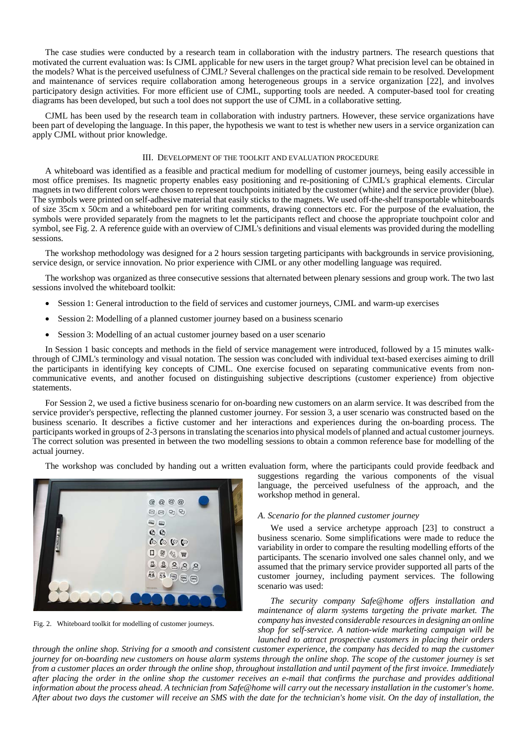The case studies were conducted by a research team in collaboration with the industry partners. The research questions that motivated the current evaluation was: Is CJML applicable for new users in the target group? What precision level can be obtained in the models? What is the perceived usefulness of CJML? Several challenges on the practical side remain to be resolved. Development and maintenance of services require collaboration among heterogeneous groups in a service organization [22], and involves participatory design activities. For more efficient use of CJML, supporting tools are needed. A computer-based tool for creating diagrams has been developed, but such a tool does not support the use of CJML in a collaborative setting.

CJML has been used by the research team in collaboration with industry partners. However, these service organizations have been part of developing the language. In this paper, the hypothesis we want to test is whether new users in a service organization can apply CJML without prior knowledge.

## III. DEVELOPMENT OF THE TOOLKIT AND EVALUATION PROCEDURE

A whiteboard was identified as a feasible and practical medium for modelling of customer journeys, being easily accessible in most office premises. Its magnetic property enables easy positioning and re-positioning of CJML's graphical elements. Circular magnets in two different colors were chosen to represent touchpoints initiated by the customer (white) and the service provider (blue). The symbols were printed on self-adhesive material that easily sticks to the magnets. We used off-the-shelf transportable whiteboards of size 35cm x 50cm and a whiteboard pen for writing comments, drawing connectors etc. For the purpose of the evaluation, the symbols were provided separately from the magnets to let the participants reflect and choose the appropriate touchpoint color and symbol, see Fig. 2. A reference guide with an overview of CJML's definitions and visual elements was provided during the modelling sessions.

The workshop methodology was designed for a 2 hours session targeting participants with backgrounds in service provisioning, service design, or service innovation. No prior experience with CJML or any other modelling language was required.

The workshop was organized as three consecutive sessions that alternated between plenary sessions and group work. The two last sessions involved the whiteboard toolkit:

- Session 1: General introduction to the field of services and customer journeys, CJML and warm-up exercises
- Session 2: Modelling of a planned customer journey based on a business scenario
- Session 3: Modelling of an actual customer journey based on a user scenario

In Session 1 basic concepts and methods in the field of service management were introduced, followed by a 15 minutes walkthrough of CJML's terminology and visual notation. The session was concluded with individual text-based exercises aiming to drill the participants in identifying key concepts of CJML. One exercise focused on separating communicative events from noncommunicative events, and another focused on distinguishing subjective descriptions (customer experience) from objective statements.

For Session 2, we used a fictive business scenario for on-boarding new customers on an alarm service. It was described from the service provider's perspective, reflecting the planned customer journey. For session 3, a user scenario was constructed based on the business scenario. It describes a fictive customer and her interactions and experiences during the on-boarding process. The participants worked in groups of 2-3 persons in translating the scenarios into physical models of planned and actual customer journeys. The correct solution was presented in between the two modelling sessions to obtain a common reference base for modelling of the actual journey.

The workshop was concluded by handing out a written evaluation form, where the participants could provide feedback and



Fig. 2. Whiteboard toolkit for modelling of customer journeys.

suggestions regarding the various components of the visual language, the perceived usefulness of the approach, and the workshop method in general.

# *A. Scenario for the planned customer journey*

We used a service archetype approach [23] to construct a business scenario. Some simplifications were made to reduce the variability in order to compare the resulting modelling efforts of the participants. The scenario involved one sales channel only, and we assumed that the primary service provider supported all parts of the customer journey, including payment services. The following scenario was used:

*The security company Safe@home offers installation and maintenance of alarm systems targeting the private market. The company has invested considerable resources in designing an online shop for self-service. A nation-wide marketing campaign will be launched to attract prospective customers in placing their orders* 

*through the online shop. Striving for a smooth and consistent customer experience, the company has decided to map the customer journey for on-boarding new customers on house alarm systems through the online shop. The scope of the customer journey is set from a customer places an order through the online shop, throughout installation and until payment of the first invoice. Immediately after placing the order in the online shop the customer receives an e-mail that confirms the purchase and provides additional information about the process ahead. A technician from Safe@home will carry out the necessary installation in the customer's home. After about two days the customer will receive an SMS with the date for the technician's home visit. On the day of installation, the*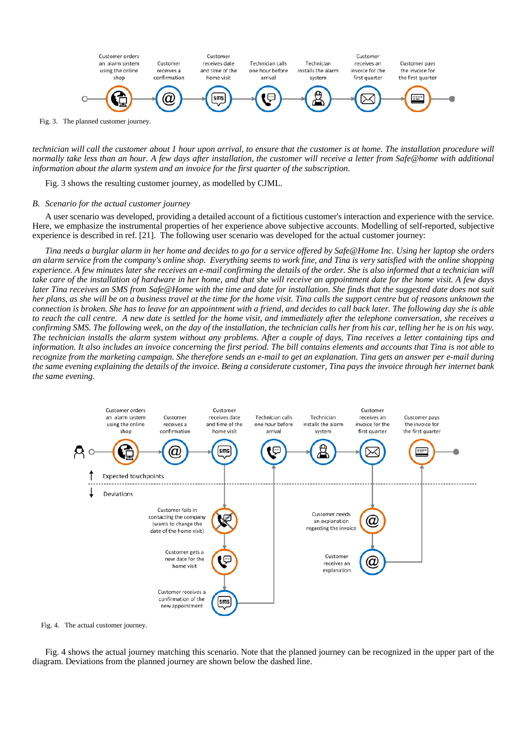

*technician will call the customer about 1 hour upon arrival, to ensure that the customer is at home. The installation procedure will normally take less than an hour. A few days after installation, the customer will receive a letter from Safe@home with additional information about the alarm system and an invoice for the first quarter of the subscription.*

Fig. 3 shows the resulting customer journey, as modelled by CJML.

#### *B. Scenario for the actual customer journey*

A user scenario was developed, providing a detailed account of a fictitious customer's interaction and experience with the service. Here, we emphasize the instrumental properties of her experience above subjective accounts. Modelling of self-reported, subjective experience is described in ref. [21]. The following user scenario was developed for the actual customer journey:

*Tina needs a burglar alarm in her home and decides to go for a service offered by Safe@Home Inc. Using her laptop she orders an alarm service from the company's online shop. Everything seems to work fine, and Tina is very satisfied with the online shopping experience. A few minutes later she receives an e-mail confirming the details of the order. She is also informed that a technician will take care of the installation of hardware in her home, and that she will receive an appointment date for the home visit. A few days later Tina receives an SMS from Safe@Home with the time and date for installation. She finds that the suggested date does not suit her plans, as she will be on a business travel at the time for the home visit. Tina calls the support centre but of reasons unknown the connection is broken. She has to leave for an appointment with a friend, and decides to call back later. The following day she is able to reach the call centre. A new date is settled for the home visit, and immediately after the telephone conversation, she receives a confirming SMS. The following week, on the day of the installation, the technician calls her from his car, telling her he is on his way. The technician installs the alarm system without any problems. After a couple of days, Tina receives a letter containing tips and information. It also includes an invoice concerning the first period. The bill contains elements and accounts that Tina is not able to recognize from the marketing campaign. She therefore sends an e-mail to get an explanation. Tina gets an answer per e-mail during the same evening explaining the details of the invoice. Being a considerate customer, Tina pays the invoice through her internet bank the same evening.*



Fig. 4. The actual customer journey.

Fig. 4 shows the actual journey matching this scenario. Note that the planned journey can be recognized in the upper part of the diagram. Deviations from the planned journey are shown below the dashed line.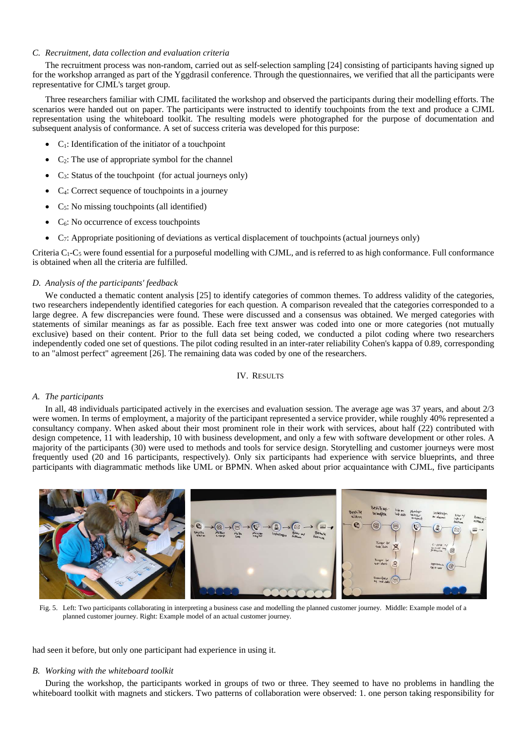# *C. Recruitment, data collection and evaluation criteria*

The recruitment process was non-random, carried out as self-selection sampling [24] consisting of participants having signed up for the workshop arranged as part of the Yggdrasil conference. Through the questionnaires, we verified that all the participants were representative for CJML's target group.

Three researchers familiar with CJML facilitated the workshop and observed the participants during their modelling efforts. The scenarios were handed out on paper. The participants were instructed to identify touchpoints from the text and produce a CJML representation using the whiteboard toolkit. The resulting models were photographed for the purpose of documentation and subsequent analysis of conformance. A set of success criteria was developed for this purpose:

- $C_1$ : Identification of the initiator of a touchpoint
- $C_2$ : The use of appropriate symbol for the channel
- $C_3$ : Status of the touchpoint (for actual journeys only)
- C4: Correct sequence of touchpoints in a journey
- $C<sub>5</sub>$ : No missing touchpoints (all identified)
- $C_6$ : No occurrence of excess touchpoints
- $C_7$ : Appropriate positioning of deviations as vertical displacement of touchpoints (actual journeys only)

Criteria  $C_1-C_5$  were found essential for a purposeful modelling with CJML, and is referred to as high conformance. Full conformance is obtained when all the criteria are fulfilled.

# *D. Analysis of the participants' feedback*

We conducted a thematic content analysis [25] to identify categories of common themes. To address validity of the categories, two researchers independently identified categories for each question. A comparison revealed that the categories corresponded to a large degree. A few discrepancies were found. These were discussed and a consensus was obtained. We merged categories with statements of similar meanings as far as possible. Each free text answer was coded into one or more categories (not mutually exclusive) based on their content. Prior to the full data set being coded, we conducted a pilot coding where two researchers independently coded one set of questions. The pilot coding resulted in an inter-rater reliability Cohen's kappa of 0.89, corresponding to an "almost perfect" agreement [26]. The remaining data was coded by one of the researchers.

# IV. RESULTS

# *A. The participants*

In all, 48 individuals participated actively in the exercises and evaluation session. The average age was 37 years, and about 2/3 were women. In terms of employment, a majority of the participant represented a service provider, while roughly 40% represented a consultancy company. When asked about their most prominent role in their work with services, about half (22) contributed with design competence, 11 with leadership, 10 with business development, and only a few with software development or other roles. A majority of the participants (30) were used to methods and tools for service design. Storytelling and customer journeys were most frequently used (20 and 16 participants, respectively). Only six participants had experience with service blueprints, and three participants with diagrammatic methods like UML or BPMN. When asked about prior acquaintance with CJML, five participants



Fig. 5. Left: Two participants collaborating in interpreting a business case and modelling the planned customer journey. Middle: Example model of a planned customer journey. Right: Example model of an actual customer journey.

had seen it before, but only one participant had experience in using it.

## *B. Working with the whiteboard toolkit*

During the workshop, the participants worked in groups of two or three. They seemed to have no problems in handling the whiteboard toolkit with magnets and stickers. Two patterns of collaboration were observed: 1. one person taking responsibility for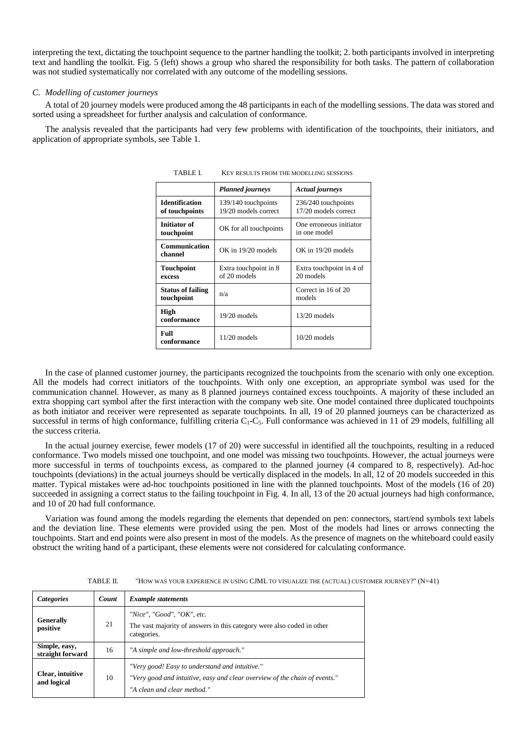interpreting the text, dictating the touchpoint sequence to the partner handling the toolkit; 2. both participants involved in interpreting text and handling the toolkit. Fig. 5 (left) shows a group who shared the responsibility for both tasks. The pattern of collaboration was not studied systematically nor correlated with any outcome of the modelling sessions.

## *C. Modelling of customer journeys*

A total of 20 journey models were produced among the 48 participants in each of the modelling sessions. The data was stored and sorted using a spreadsheet for further analysis and calculation of conformance.

The analysis revealed that the participants had very few problems with identification of the touchpoints, their initiators, and application of appropriate symbols, see Table 1.

|                                         | <b>Planned journeys</b>                                                        | <b>Actual journeys</b>                      |  |
|-----------------------------------------|--------------------------------------------------------------------------------|---------------------------------------------|--|
| <b>Identification</b><br>of touchpoints | 139/140 touchpoints<br>19/20 models correct                                    | 236/240 touchpoints<br>17/20 models correct |  |
| Initiator of<br>touchpoint              | OK for all touchpoints                                                         | One erroneous initiator<br>in one model     |  |
| <b>Communication</b><br>channel         | $OK$ in $19/20$ models<br>$OK$ in $19/20$ models                               |                                             |  |
| <b>Touchpoint</b><br>excess             | Extra touchpoint in 4 of<br>Extra touchpoint in 8<br>of 20 models<br>20 models |                                             |  |
| <b>Status of failing</b><br>touchpoint  | n/a                                                                            | Correct in 16 of 20<br>models               |  |
| High<br>conformance                     | $19/20$ models                                                                 | $13/20$ models                              |  |
| Full<br>conformance                     | $11/20$ models                                                                 | $10/20$ models                              |  |

TABLE I. KEY RESULTS FROM THE MODELLING SESSIONS

In the case of planned customer journey, the participants recognized the touchpoints from the scenario with only one exception. All the models had correct initiators of the touchpoints. With only one exception, an appropriate symbol was used for the communication channel. However, as many as 8 planned journeys contained excess touchpoints. A majority of these included an extra shopping cart symbol after the first interaction with the company web site. One model contained three duplicated touchpoints as both initiator and receiver were represented as separate touchpoints. In all, 19 of 20 planned journeys can be characterized as successful in terms of high conformance, fulfilling criteria  $C_1$ -C<sub>5</sub>. Full conformance was achieved in 11 of 29 models, fulfilling all the success criteria.

In the actual journey exercise, fewer models (17 of 20) were successful in identified all the touchpoints, resulting in a reduced conformance. Two models missed one touchpoint, and one model was missing two touchpoints. However, the actual journeys were more successful in terms of touchpoints excess, as compared to the planned journey (4 compared to 8, respectively). Ad-hoc touchpoints (deviations) in the actual journeys should be vertically displaced in the models. In all, 12 of 20 models succeeded in this matter. Typical mistakes were ad-hoc touchpoints positioned in line with the planned touchpoints. Most of the models (16 of 20) succeeded in assigning a correct status to the failing touchpoint in Fig. 4. In all, 13 of the 20 actual journeys had high conformance, and 10 of 20 had full conformance.

Variation was found among the models regarding the elements that depended on pen: connectors, start/end symbols text labels and the deviation line. These elements were provided using the pen. Most of the models had lines or arrows connecting the touchpoints. Start and end points were also present in most of the models. As the presence of magnets on the whiteboard could easily obstruct the writing hand of a participant, these elements were not considered for calculating conformance.

| <b>Categories</b>                 | Count | <b>Example statements</b>                                                                                                                                   |  |
|-----------------------------------|-------|-------------------------------------------------------------------------------------------------------------------------------------------------------------|--|
| <b>Generally</b><br>positive      | 21    | "Nice", "Good", "OK", etc.<br>The vast majority of answers in this category were also coded in other<br>categories.                                         |  |
| Simple, easy,<br>straight forward | 16    | "A simple and low-threshold approach."                                                                                                                      |  |
| Clear, intuitive<br>and logical   | 10    | "Very good! Easy to understand and intuitive."<br>"Very good and intuitive, easy and clear overview of the chain of events."<br>"A clean and clear method." |  |

TABLE II. "HOW WAS YOUR EXPERIENCE IN USING CJML TO VISUALIZE THE (ACTUAL) CUSTOMER JOURNEY?" (N=41)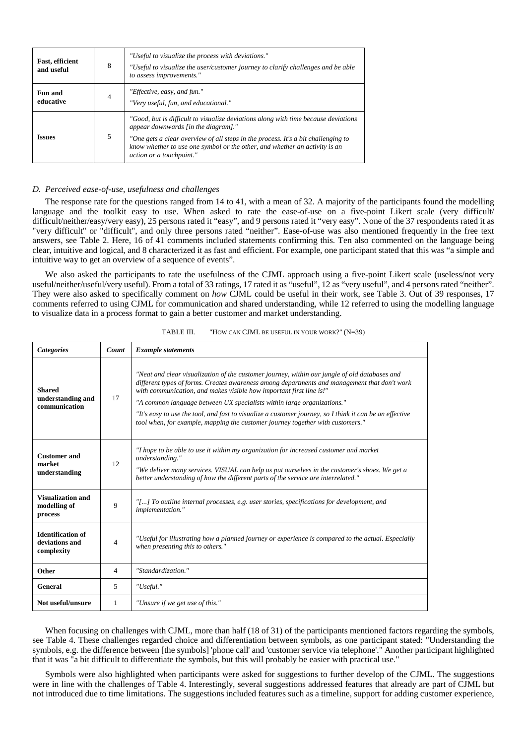| Fast, efficient<br>and useful | 8              | "Useful to visualize the process with deviations."<br>"Useful to visualize the user/customer journey to clarify challenges and be able<br>to assess improvements."                                                                                                                                                        |  |
|-------------------------------|----------------|---------------------------------------------------------------------------------------------------------------------------------------------------------------------------------------------------------------------------------------------------------------------------------------------------------------------------|--|
| <b>Fun and</b><br>educative   | $\overline{4}$ | "Effective, easy, and fun."<br>"Very useful, fun, and educational."                                                                                                                                                                                                                                                       |  |
| <b>Issues</b>                 | 5              | "Good, but is difficult to visualize deviations along with time because deviations"<br>appear downwards [in the diagram]."<br>"One gets a clear overview of all steps in the process. It's a bit challenging to<br>know whether to use one symbol or the other, and whether an activity is an<br>action or a touchpoint." |  |

# *D. Perceived ease-of-use, usefulness and challenges*

The response rate for the questions ranged from 14 to 41, with a mean of 32. A majority of the participants found the modelling language and the toolkit easy to use. When asked to rate the ease-of-use on a five-point Likert scale (very difficult/ difficult/neither/easy/very easy), 25 persons rated it "easy", and 9 persons rated it "very easy". None of the 37 respondents rated it as "very difficult" or "difficult", and only three persons rated "neither". Ease-of-use was also mentioned frequently in the free text answers, see Table 2. Here, 16 of 41 comments included statements confirming this. Ten also commented on the language being clear, intuitive and logical, and 8 characterized it as fast and efficient. For example, one participant stated that this was "a simple and intuitive way to get an overview of a sequence of events".

We also asked the participants to rate the usefulness of the CJML approach using a five-point Likert scale (useless/not very useful/neither/useful/very useful). From a total of 33 ratings, 17 rated it as "useful", 12 as "very useful", and 4 persons rated "neither". They were also asked to specifically comment on *how* CJML could be useful in their work, see Table 3. Out of 39 responses, 17 comments referred to using CJML for communication and shared understanding, while 12 referred to using the modelling language to visualize data in a process format to gain a better customer and market understanding.

| <b>Categories</b>                                        | Count          | <b>Example</b> statements                                                                                                                                                                                                                                                                                                                                                                                                                                                                                                                   |  |
|----------------------------------------------------------|----------------|---------------------------------------------------------------------------------------------------------------------------------------------------------------------------------------------------------------------------------------------------------------------------------------------------------------------------------------------------------------------------------------------------------------------------------------------------------------------------------------------------------------------------------------------|--|
| <b>Shared</b><br>understanding and<br>communication      | 17             | "Neat and clear visualization of the customer journey, within our jungle of old databases and<br>different types of forms. Creates awareness among departments and management that don't work<br>with communication, and makes visible how important first line is!"<br>"A common language between UX specialists within large organizations."<br>"It's easy to use the tool, and fast to visualize a customer journey, so I think it can be an effective<br>tool when, for example, mapping the customer journey together with customers." |  |
| <b>Customer</b> and<br>market<br>understanding           | 12             | "I hope to be able to use it within my organization for increased customer and market<br>understanding."<br>"We deliver many services. VISUAL can help us put ourselves in the customer's shoes. We get a<br>better understanding of how the different parts of the service are interrelated."                                                                                                                                                                                                                                              |  |
| <b>Visualization and</b><br>modelling of<br>process      | 9              | "[] To outline internal processes, e.g. user stories, specifications for development, and<br>implementation."                                                                                                                                                                                                                                                                                                                                                                                                                               |  |
| <b>Identification of</b><br>deviations and<br>complexity | 4              | "Useful for illustrating how a planned journey or experience is compared to the actual. Especially<br>when presenting this to others."                                                                                                                                                                                                                                                                                                                                                                                                      |  |
| Other                                                    | $\overline{4}$ | "Standardization."                                                                                                                                                                                                                                                                                                                                                                                                                                                                                                                          |  |
| General                                                  | 5              | "Useful."                                                                                                                                                                                                                                                                                                                                                                                                                                                                                                                                   |  |
| Not useful/unsure                                        | 1              | "Unsure if we get use of this."                                                                                                                                                                                                                                                                                                                                                                                                                                                                                                             |  |

TABLE III. "HOW CAN CJML BE USEFUL IN YOUR WORK?" (N=39)

When focusing on challenges with CJML, more than half (18 of 31) of the participants mentioned factors regarding the symbols, see Table 4. These challenges regarded choice and differentiation between symbols, as one participant stated: "Understanding the symbols, e.g. the difference between [the symbols] 'phone call' and 'customer service via telephone'." Another participant highlighted that it was "a bit difficult to differentiate the symbols, but this will probably be easier with practical use."

Symbols were also highlighted when participants were asked for suggestions to further develop of the CJML. The suggestions were in line with the challenges of Table 4. Interestingly, several suggestions addressed features that already are part of CJML but not introduced due to time limitations. The suggestions included features such as a timeline, support for adding customer experience,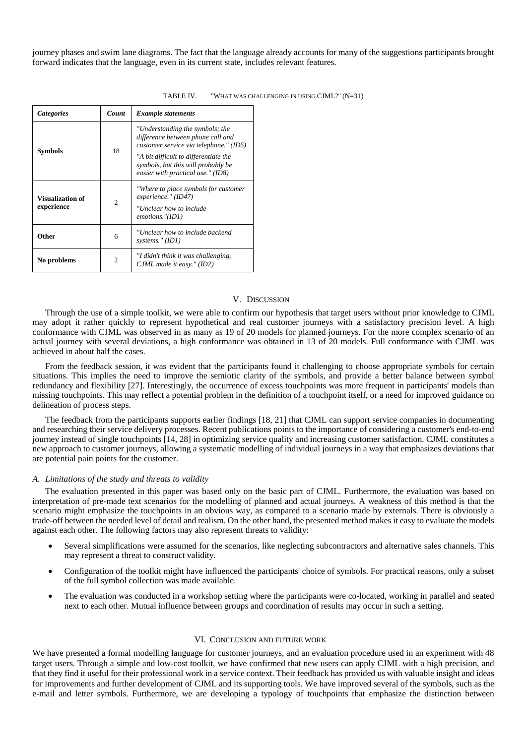journey phases and swim lane diagrams. The fact that the language already accounts for many of the suggestions participants brought forward indicates that the language, even in its current state, includes relevant features.

| <i>Categories</i>                     | Count          | <i><b>Example statements</b></i>                                                                                                                                                                                                   |
|---------------------------------------|----------------|------------------------------------------------------------------------------------------------------------------------------------------------------------------------------------------------------------------------------------|
| Symbols                               | 18             | "Understanding the symbols; the<br>difference between phone call and<br>customer service via telephone." (ID5)<br>"A bit difficult to differentiate the<br>symbols, but this will probably be<br>easier with practical use." (ID8) |
| <b>Visualization of</b><br>experience | $\overline{c}$ | "Where to place symbols for customer"<br>experience." (ID47)<br>"Unclear how to include<br>$emotions.$ "(ID1)                                                                                                                      |
| <b>Other</b>                          | 6              | "Unclear how to include backend<br>systems." (ID1)                                                                                                                                                                                 |
| No problems                           | 2              | "I didn't think it was challenging,<br>CJML made it easy." (ID2)                                                                                                                                                                   |

| TABLE IV. | "WHAT WAS CHALLENGING IN USING CJML?" (N=31) |  |
|-----------|----------------------------------------------|--|
|-----------|----------------------------------------------|--|

## V. DISCUSSION

Through the use of a simple toolkit, we were able to confirm our hypothesis that target users without prior knowledge to CJML may adopt it rather quickly to represent hypothetical and real customer journeys with a satisfactory precision level. A high conformance with CJML was observed in as many as 19 of 20 models for planned journeys. For the more complex scenario of an actual journey with several deviations, a high conformance was obtained in 13 of 20 models. Full conformance with CJML was achieved in about half the cases.

From the feedback session, it was evident that the participants found it challenging to choose appropriate symbols for certain situations. This implies the need to improve the semiotic clarity of the symbols, and provide a better balance between symbol redundancy and flexibility [27]. Interestingly, the occurrence of excess touchpoints was more frequent in participants' models than missing touchpoints. This may reflect a potential problem in the definition of a touchpoint itself, or a need for improved guidance on delineation of process steps.

The feedback from the participants supports earlier findings [18, 21] that CJML can support service companies in documenting and researching their service delivery processes. Recent publications points to the importance of considering a customer's end-to-end journey instead of single touchpoints [14, 28] in optimizing service quality and increasing customer satisfaction. CJML constitutes a new approach to customer journeys, allowing a systematic modelling of individual journeys in a way that emphasizes deviations that are potential pain points for the customer.

# *A. Limitations of the study and threats to validity*

The evaluation presented in this paper was based only on the basic part of CJML. Furthermore, the evaluation was based on interpretation of pre-made text scenarios for the modelling of planned and actual journeys. A weakness of this method is that the scenario might emphasize the touchpoints in an obvious way, as compared to a scenario made by externals. There is obviously a trade-off between the needed level of detail and realism. On the other hand, the presented method makes it easy to evaluate the models against each other. The following factors may also represent threats to validity:

- Several simplifications were assumed for the scenarios, like neglecting subcontractors and alternative sales channels. This may represent a threat to construct validity.
- Configuration of the toolkit might have influenced the participants' choice of symbols. For practical reasons, only a subset of the full symbol collection was made available.
- The evaluation was conducted in a workshop setting where the participants were co-located, working in parallel and seated next to each other. Mutual influence between groups and coordination of results may occur in such a setting.

## VI. CONCLUSION AND FUTURE WORK

We have presented a formal modelling language for customer journeys, and an evaluation procedure used in an experiment with 48 target users. Through a simple and low-cost toolkit, we have confirmed that new users can apply CJML with a high precision, and that they find it useful for their professional work in a service context. Their feedback has provided us with valuable insight and ideas for improvements and further development of CJML and its supporting tools. We have improved several of the symbols, such as the e-mail and letter symbols. Furthermore, we are developing a typology of touchpoints that emphasize the distinction between